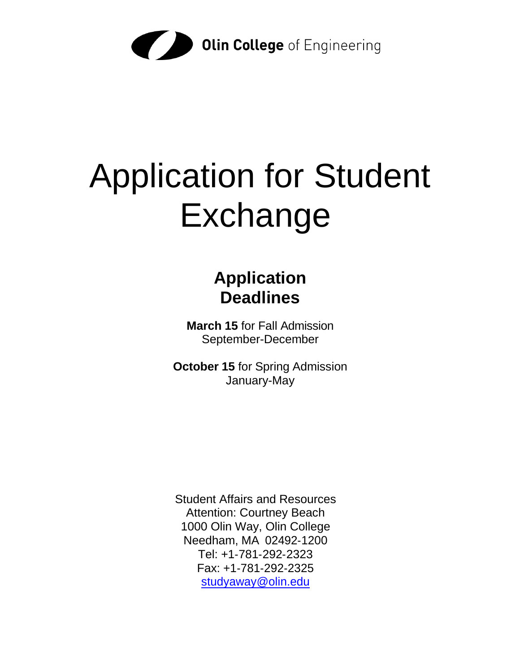

# Application for Student Exchange

## **Application Deadlines**

**March 15** for Fall Admission September-December

**October 15** for Spring Admission January-May

Student Affairs and Resources Attention: Courtney Beach 1000 Olin Way, Olin College Needham, MA 02492‐1200 Tel: +1‐781‐292‐2323 Fax: +1‐781‐292‐2325 [studyaway@olin.edu](mailto:studyaway@olin.edu)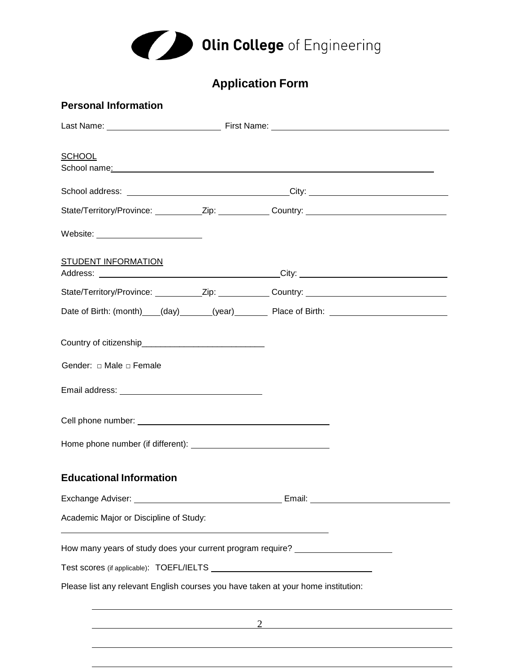

## **Application Form**

| <b>Personal Information</b>                                                                                                                                     |                                                                                                                                                                                                                                |  |  |  |  |  |
|-----------------------------------------------------------------------------------------------------------------------------------------------------------------|--------------------------------------------------------------------------------------------------------------------------------------------------------------------------------------------------------------------------------|--|--|--|--|--|
|                                                                                                                                                                 |                                                                                                                                                                                                                                |  |  |  |  |  |
| <b>SCHOOL</b>                                                                                                                                                   | School name: experience and the second contract of the second contract of the second contract of the second contract of the second contract of the second contract of the second contract of the second contract of the second |  |  |  |  |  |
|                                                                                                                                                                 |                                                                                                                                                                                                                                |  |  |  |  |  |
|                                                                                                                                                                 |                                                                                                                                                                                                                                |  |  |  |  |  |
| Website: __________________________                                                                                                                             |                                                                                                                                                                                                                                |  |  |  |  |  |
| STUDENT INFORMATION                                                                                                                                             |                                                                                                                                                                                                                                |  |  |  |  |  |
|                                                                                                                                                                 |                                                                                                                                                                                                                                |  |  |  |  |  |
|                                                                                                                                                                 | Date of Birth: (month) (day) (gear) Place of Birth: 2000 Contract Control of Birth: 2001                                                                                                                                       |  |  |  |  |  |
| Country of citizenship<br><u>Country</u> of citizenship<br>Gender: $\Box$ Male $\Box$ Female                                                                    |                                                                                                                                                                                                                                |  |  |  |  |  |
|                                                                                                                                                                 |                                                                                                                                                                                                                                |  |  |  |  |  |
| <b>Educational Information</b>                                                                                                                                  |                                                                                                                                                                                                                                |  |  |  |  |  |
|                                                                                                                                                                 |                                                                                                                                                                                                                                |  |  |  |  |  |
| Academic Major or Discipline of Study:<br><u> 1989 - Johann Stoff, deutscher Stoff, der Stoff, der Stoff, der Stoff, der Stoff, der Stoff, der Stoff, der S</u> |                                                                                                                                                                                                                                |  |  |  |  |  |
| How many years of study does your current program require? _____________________                                                                                |                                                                                                                                                                                                                                |  |  |  |  |  |
|                                                                                                                                                                 |                                                                                                                                                                                                                                |  |  |  |  |  |
| Please list any relevant English courses you have taken at your home institution:                                                                               |                                                                                                                                                                                                                                |  |  |  |  |  |
|                                                                                                                                                                 | $\overline{2}$                                                                                                                                                                                                                 |  |  |  |  |  |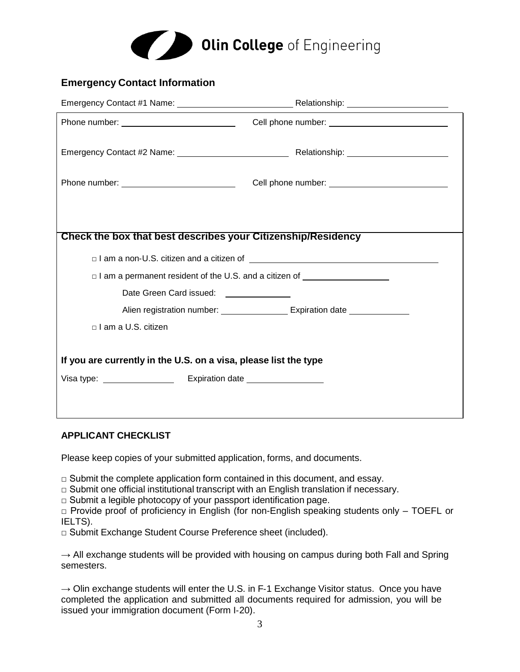

#### **Emergency Contact Information**

| Check the box that best describes your Citizenship/Residency                    |                                            |  |  |  |  |
|---------------------------------------------------------------------------------|--------------------------------------------|--|--|--|--|
|                                                                                 |                                            |  |  |  |  |
| □ I am a permanent resident of the U.S. and a citizen of ______________________ |                                            |  |  |  |  |
| Date Green Card issued: <b>Fig. 2.1. Fig. 2.1. Except</b>                       |                                            |  |  |  |  |
|                                                                                 | Alien registration number: Expiration date |  |  |  |  |
| □ I am a U.S. citizen                                                           |                                            |  |  |  |  |
| If you are currently in the U.S. on a visa, please list the type                |                                            |  |  |  |  |
|                                                                                 |                                            |  |  |  |  |
|                                                                                 |                                            |  |  |  |  |

#### **APPLICANT CHECKLIST**

Please keep copies of your submitted application, forms, and documents.

- $\Box$  Submit the complete application form contained in this document, and essay.
- □ Submit one official institutional transcript with an English translation if necessary.
- $\Box$  Submit a legible photocopy of your passport identification page.
- $\Box$  Provide proof of proficiency in English (for non-English speaking students only TOEFL or IELTS).
- □ Submit Exchange Student Course Preference sheet (included).

→ All exchange students will be provided with housing on campus during both Fall and Spring semesters.

**→** Olin exchange students will enter the U.S. in F‐1 Exchange Visitor status. Once you have completed the application and submitted all documents required for admission, you will be issued your immigration document (Form I‐20).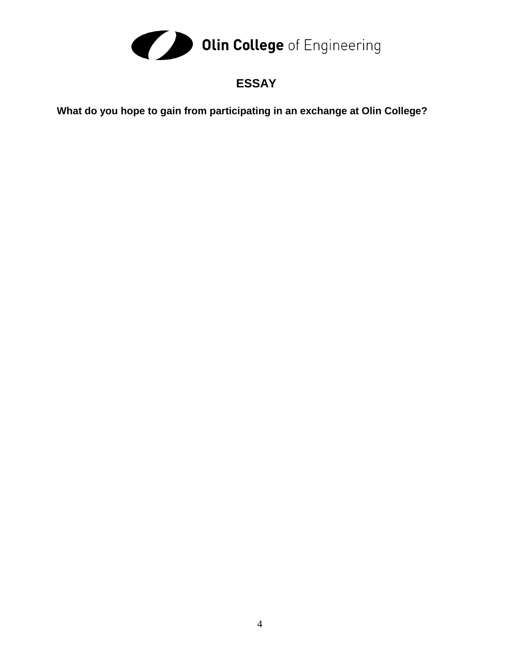

### **ESSAY**

**What do you hope to gain from participating in an exchange at Olin College?**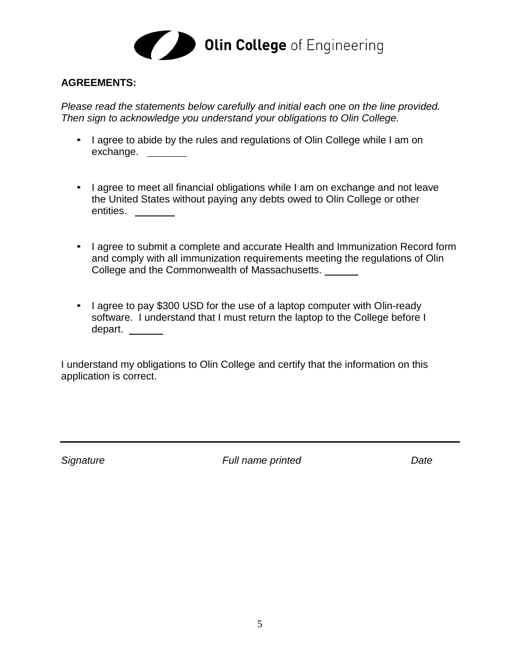

#### **AGREEMENTS:**

*Please read the statements below carefully and initial each one on the line provided. Then sign to acknowledge you understand your obligations to Olin College.*

- I agree to abide by the rules and regulations of Olin College while I am on exchange.
- I agree to meet all financial obligations while I am on exchange and not leave the United States without paying any debts owed to Olin College or other entities. \_\_\_\_\_\_\_
- I agree to submit a complete and accurate Health and Immunization Record form and comply with all immunization requirements meeting the regulations of Olin College and the Commonwealth of Massachusetts.
- I agree to pay \$300 USD for the use of a laptop computer with Olin-ready software. I understand that I must return the laptop to the College before I depart.

I understand my obligations to Olin College and certify that the information on this application is correct.

*Signature Full name printed Date*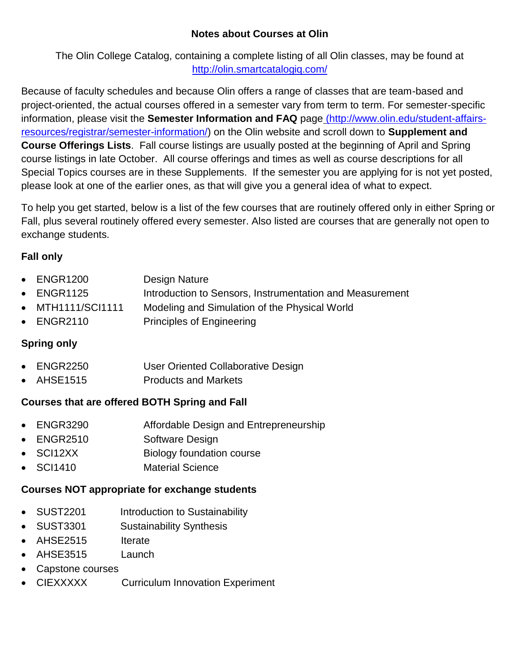#### **Notes about Courses at Olin**

The Olin College Catalog, containing a complete listing of all Olin classes, may be found at <http://olin.smartcatalogiq.com/>

Because of faculty schedules and because Olin offers a range of classes that are team-based and project-oriented, the actual courses offered in a semester vary from term to term. For semester-specific information, please visit the **Semester Information and FAQ** page [\(http://www.olin.edu/student-affairs](http://www.olin.edu/student-affairs-resources/registrar/semester-information/)[resources/registrar/semester-information/\)](http://www.olin.edu/student-affairs-resources/registrar/semester-information/) on the Olin website and scroll down to **Supplement and Course Offerings Lists**. Fall course listings are usually posted at the beginning of April and Spring course listings in late October. All course offerings and times as well as course descriptions for all Special Topics courses are in these Supplements. If the semester you are applying for is not yet posted, please look at one of the earlier ones, as that will give you a general idea of what to expect.

To help you get started, below is a list of the few courses that are routinely offered only in either Spring or Fall, plus several routinely offered every semester. Also listed are courses that are generally not open to exchange students.

#### **Fall only**

| $\bullet$ ENGR1200 | Design Nature                                            |
|--------------------|----------------------------------------------------------|
| $\bullet$ ENGR1125 | Introduction to Sensors, Instrumentation and Measurement |
| • MTH1111/SCI1111  | Modeling and Simulation of the Physical World            |
| $\bullet$ ENGR2110 | <b>Principles of Engineering</b>                         |
|                    |                                                          |

#### **Spring only**

- ENGR2250 User Oriented Collaborative Design
- AHSE1515 Products and Markets

#### **Courses that are offered BOTH Spring and Fall**

- ENGR3290 Affordable Design and Entrepreneurship
- ENGR2510 Software Design
- SCI12XX Biology foundation course
- SCI1410 Material Science

#### **Courses NOT appropriate for exchange students**

- SUST2201 Introduction to Sustainability
- SUST3301 Sustainability Synthesis
- AHSE2515 Iterate
- AHSE3515 Launch
- Capstone courses
- CIEXXXXX Curriculum Innovation Experiment